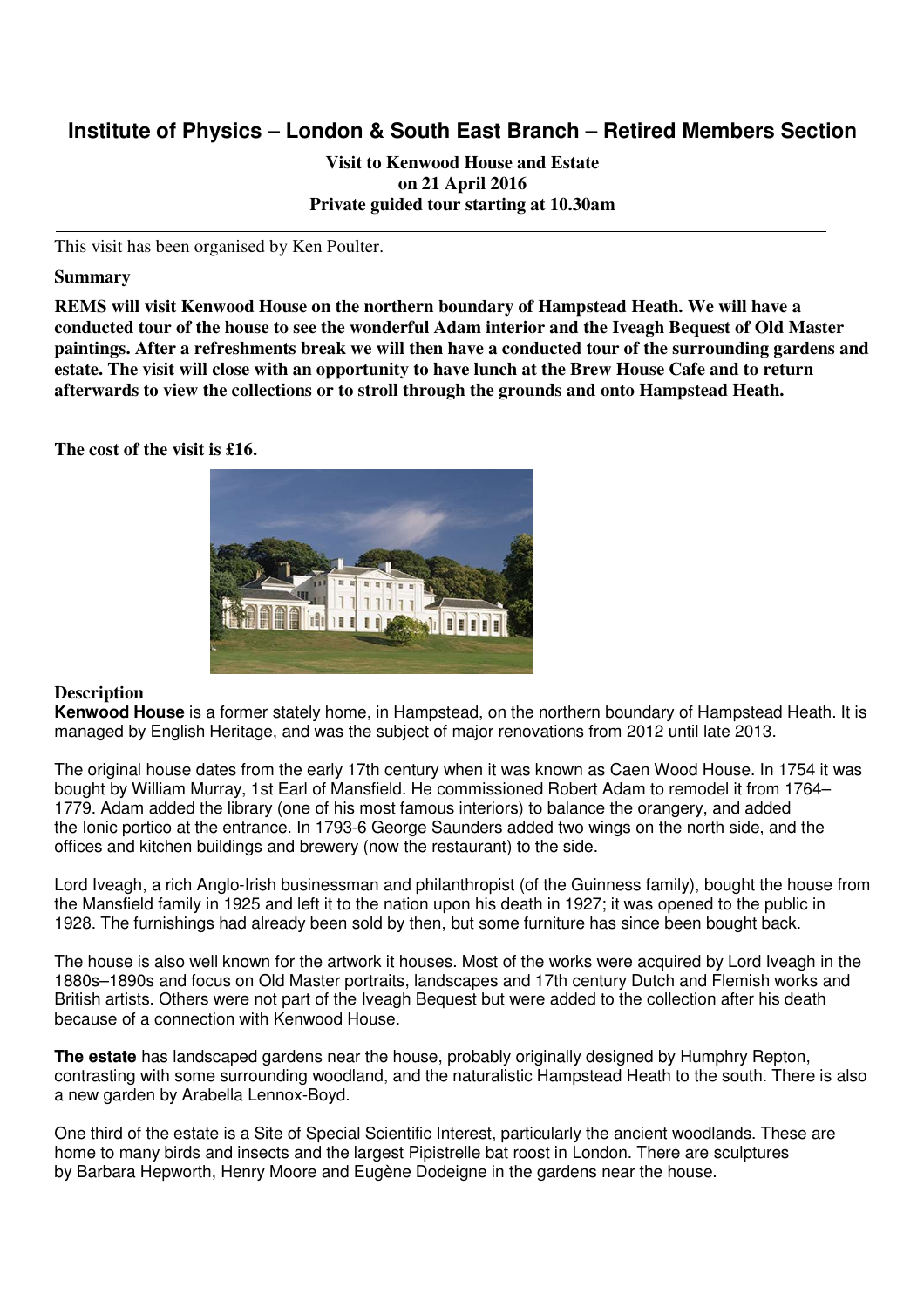# **Institute of Physics – London & South East Branch – Retired Members Section**

**Visit to Kenwood House and Estate on 21 April 2016 Private guided tour starting at 10.30am** 

This visit has been organised by Ken Poulter.

## **Summary**

**REMS will visit Kenwood House on the northern boundary of Hampstead Heath. We will have a conducted tour of the house to see the wonderful Adam interior and the Iveagh Bequest of Old Master paintings. After a refreshments break we will then have a conducted tour of the surrounding gardens and estate. The visit will close with an opportunity to have lunch at the Brew House Cafe and to return afterwards to view the collections or to stroll through the grounds and onto Hampstead Heath.** 

**The cost of the visit is £16.** 



### **Description**

**Kenwood House** is a former stately home, in Hampstead, on the northern boundary of Hampstead Heath. It is managed by English Heritage, and was the subject of major renovations from 2012 until late 2013.

The original house dates from the early 17th century when it was known as Caen Wood House. In 1754 it was bought by William Murray, 1st Earl of Mansfield. He commissioned Robert Adam to remodel it from 1764– 1779. Adam added the library (one of his most famous interiors) to balance the orangery, and added the Ionic portico at the entrance. In 1793-6 George Saunders added two wings on the north side, and the offices and kitchen buildings and brewery (now the restaurant) to the side.

Lord Iveagh, a rich Anglo-Irish businessman and philanthropist (of the Guinness family), bought the house from the Mansfield family in 1925 and left it to the nation upon his death in 1927; it was opened to the public in 1928. The furnishings had already been sold by then, but some furniture has since been bought back.

The house is also well known for the artwork it houses. Most of the works were acquired by Lord Iveagh in the 1880s–1890s and focus on Old Master portraits, landscapes and 17th century Dutch and Flemish works and British artists. Others were not part of the Iveagh Bequest but were added to the collection after his death because of a connection with Kenwood House.

**The estate** has landscaped gardens near the house, probably originally designed by Humphry Repton, contrasting with some surrounding woodland, and the naturalistic Hampstead Heath to the south. There is also a new garden by Arabella Lennox-Boyd.

One third of the estate is a Site of Special Scientific Interest, particularly the ancient woodlands. These are home to many birds and insects and the largest Pipistrelle bat roost in London. There are sculptures by Barbara Hepworth, Henry Moore and Eugène Dodeigne in the gardens near the house.